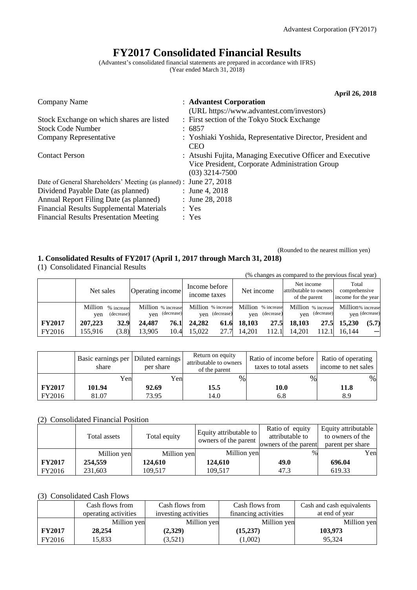# **FY2017 Consolidated Financial Results**

(Advantest's consolidated financial statements are prepared in accordance with IFRS) (Year ended March 31, 2018)

|                                                                   | <b>April 26, 2018</b>                                                                                                            |
|-------------------------------------------------------------------|----------------------------------------------------------------------------------------------------------------------------------|
| Company Name                                                      | : Advantest Corporation                                                                                                          |
|                                                                   | (URL https://www.advantest.com/investors)                                                                                        |
| Stock Exchange on which shares are listed                         | : First section of the Tokyo Stock Exchange                                                                                      |
| <b>Stock Code Number</b>                                          | : 6857                                                                                                                           |
| Company Representative                                            | : Yoshiaki Yoshida, Representative Director, President and<br><b>CEO</b>                                                         |
| <b>Contact Person</b>                                             | : Atsushi Fujita, Managing Executive Officer and Executive<br>Vice President, Corporate Administration Group<br>$(03)$ 3214-7500 |
| Date of General Shareholders' Meeting (as planned): June 27, 2018 |                                                                                                                                  |
| Dividend Payable Date (as planned)                                | : June 4, 2018                                                                                                                   |
| Annual Report Filing Date (as planned)                            | : June 28, 2018                                                                                                                  |
| <b>Financial Results Supplemental Materials</b>                   | : Yes                                                                                                                            |
| <b>Financial Results Presentation Meeting</b>                     | : Yes                                                                                                                            |

## (Rounded to the nearest million yen) **1. Consolidated Results of FY2017 (April 1, 2017 through March 31, 2018)**

(1) Consolidated Financial Results

(% changes as compared to the previous fiscal year) Net sales  $\begin{bmatrix} \text{Operating income} \\ \text{increase} \end{bmatrix}$  Income before income taxes | Net income Net income attributable to owners of the parent Total comprehensive income for the year Million yen % increase (decrease) Million % increase yen (decrease) Million % increase yen (decrease) Million % increase yen (decrease) Million % increase yen (decrease) Million % increase yen (decrease)  **FY2017 207,223 32.9 24,487 76.1 24,282 61.6 18,103 27.5 18,103 27.5 15,230 (5.7)** FY2016 155,916 (3.8) 13,905 10.4 15,022 27.7 14,201 112.1 14,201 112.1 16,144 -

|               | Basic earnings per   Diluted earnings  <br>share | per share | Return on equity<br>attributable to owners<br>of the parent | Ratio of income before   Ratio of operating<br>taxes to total assets | income to net sales |  |
|---------------|--------------------------------------------------|-----------|-------------------------------------------------------------|----------------------------------------------------------------------|---------------------|--|
|               | Yen                                              | Yenl      | $\%$                                                        | %                                                                    | %                   |  |
| <b>FY2017</b> | 101.94                                           | 92.69     | 15.5                                                        | 10.0                                                                 | 11.8                |  |
| FY2016        | 81.07                                            | 73.95     | 14.0                                                        | 6.8                                                                  | 8.9                 |  |

## (2) Consolidated Financial Position

|               | Total assets | Total equity | Equity attributable to<br>owners of the parent | Ratio of equity<br>attributable to<br>owners of the parent | Equity attributable<br>to owners of the<br>parent per share |
|---------------|--------------|--------------|------------------------------------------------|------------------------------------------------------------|-------------------------------------------------------------|
|               | Million yen  | Million yen  | Million yen                                    | $\%$                                                       | Yen                                                         |
| <b>FY2017</b> | 254,559      | 124,610      | 124,610                                        | 49.0                                                       | 696.04                                                      |
| FY2016        | 231.603      | 109.517      | 109.517                                        | 47.3                                                       | 619.33                                                      |

## (3) Consolidated Cash Flows

|               | Cash flows from      | Cash flows from      | Cash flows from      | Cash and cash equivalents |
|---------------|----------------------|----------------------|----------------------|---------------------------|
|               | operating activities | investing activities | financing activities | at end of year            |
|               | Million yen          | Million yen          | Million yen          | Million yen               |
| <b>FY2017</b> | 28,254               | (2,329)              | (15,237)             | 103,973                   |
| FY2016        | 15,833               | (3,521)              | (1,002)              | 95.324                    |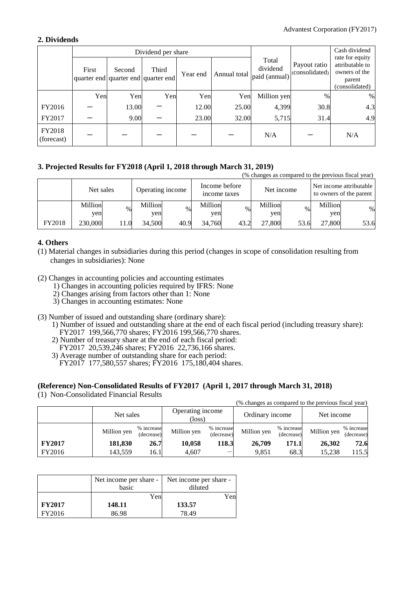## **2. Dividends**

|                      |       |        | Dividend per share                           |          |              | Cash dividend<br>rate for equity   |                                |                                                              |
|----------------------|-------|--------|----------------------------------------------|----------|--------------|------------------------------------|--------------------------------|--------------------------------------------------------------|
|                      | First | Second | Third<br>quarter end quarter end quarter end | Year end | Annual total | Total<br>dividend<br>paid (annual) | Payout ratio<br>(consolidated) | attributable to<br>owners of the<br>parent<br>(consolidated) |
|                      | Yen   | Yen    | Yen                                          | Yen      | Yen          | Million yen                        | $\%$                           | $\%$                                                         |
| FY2016               |       | 13.00  |                                              | 12.00    | 25.00        | 4,399                              | 30.8                           | 4.3                                                          |
| FY2017               |       | 9.00   |                                              | 23.00    | 32.00        | 5,715                              | 31.4                           | 4.9                                                          |
| FY2018<br>(forecast) |       |        |                                              |          |              | N/A                                |                                | N/A                                                          |

## **3. Projected Results for FY2018 (April 1, 2018 through March 31, 2019)**

|               |                |     |                  |      |                |               |                |            |                | (% changes as compared to the previous fiscal year) |
|---------------|----------------|-----|------------------|------|----------------|---------------|----------------|------------|----------------|-----------------------------------------------------|
|               | Net sales      |     | Operating income |      | income taxes   | Income before |                | Net income |                | Net income attributable<br>to owners of the parent  |
|               | Million<br>yen | %   | Million<br>yen   | $\%$ | Million<br>ven | $\%$          | Million<br>yen | $\%$       | Million<br>yen | $\%$                                                |
| <b>FY2018</b> | 230,000        | 1.0 | 34.500           | 40.9 | 34,760         | 43.2          | 27,800         | 53.6       | 27,800         | 53.6                                                |

## **4. Others**

- (1) Material changes in subsidiaries during this period (changes in scope of consolidation resulting from changes in subsidiaries): None
- (2) Changes in accounting policies and accounting estimates
	- 1) Changes in accounting policies required by IFRS: None
	- 2) Changes arising from factors other than 1: None
	- 3) Changes in accounting estimates: None
- (3) Number of issued and outstanding share (ordinary share):
	- 1) Number of issued and outstanding share at the end of each fiscal period (including treasury share): FY2017 199,566,770 shares; FY2016 199,566,770 shares.
	- 2) Number of treasury share at the end of each fiscal period:
	- FY2017 20,539,246 shares; FY2016 22,736,166 shares.
	- 3) Average number of outstanding share for each period: FY2017 177,580,557 shares; FY2016 175,180,404 shares.

## **(Reference) Non-Consolidated Results of FY2017 (April 1, 2017 through March 31, 2018)**

(1) Non-Consolidated Financial Results

|               |             |                          |                            |                          |                 |                          | (% changes as compared to the previous fiscal year) |                          |
|---------------|-------------|--------------------------|----------------------------|--------------------------|-----------------|--------------------------|-----------------------------------------------------|--------------------------|
|               | Net sales   |                          | Operating income<br>(loss) |                          | Ordinary income |                          | Net income                                          |                          |
|               | Million yen | % increase<br>(decrease) | Million yen                | % increase<br>(decrease) | Million yen     | % increase<br>(decrease) | Million yen                                         | % increase<br>(decrease) |
| <b>FY2017</b> | 181,830     | 26.7                     | 10,058                     | 118.3                    | 26,709          | 171.1                    | 26,302                                              | 72.6                     |
| FY2016        | 143,559     | 16.1                     | 4,607                      |                          | 9,851           | 68.3                     | 15,238                                              | 115.5                    |

|               | Net income per share -<br>basic | Net income per share -<br>diluted |  |
|---------------|---------------------------------|-----------------------------------|--|
|               | Yenl                            | Yen                               |  |
| <b>FY2017</b> | 148.11                          | 133.57                            |  |
| FY2016        | 86.98                           | 78.49                             |  |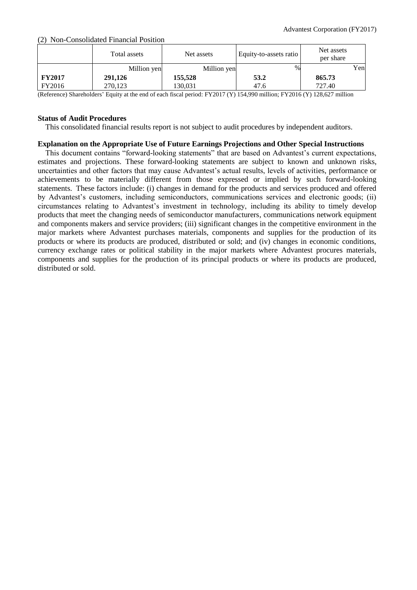(2) Non-Consolidated Financial Position

|               | Total assets | Net assets  | Equity-to-assets ratio | Net assets<br>per share |     |
|---------------|--------------|-------------|------------------------|-------------------------|-----|
|               | Million yen  | Million yen | $\%$                   |                         | Yen |
| <b>FY2017</b> | 291,126      | 155,528     | 53.2                   | 865.73                  |     |
| FY2016        | 270,123      | 130.031     | 47.6                   | 727.40                  |     |

(Reference) Shareholders' Equity at the end of each fiscal period: FY2017 (Y) 154,990 million; FY2016 (Y) 128,627 million

## **Status of Audit Procedures**

This consolidated financial results report is not subject to audit procedures by independent auditors.

## **Explanation on the Appropriate Use of Future Earnings Projections and Other Special Instructions**

This document contains "forward-looking statements" that are based on Advantest's current expectations, estimates and projections. These forward-looking statements are subject to known and unknown risks, uncertainties and other factors that may cause Advantest's actual results, levels of activities, performance or achievements to be materially different from those expressed or implied by such forward-looking statements. These factors include: (i) changes in demand for the products and services produced and offered by Advantest's customers, including semiconductors, communications services and electronic goods; (ii) circumstances relating to Advantest's investment in technology, including its ability to timely develop products that meet the changing needs of semiconductor manufacturers, communications network equipment and components makers and service providers; (iii) significant changes in the competitive environment in the major markets where Advantest purchases materials, components and supplies for the production of its products or where its products are produced, distributed or sold; and (iv) changes in economic conditions, currency exchange rates or political stability in the major markets where Advantest procures materials, components and supplies for the production of its principal products or where its products are produced, distributed or sold.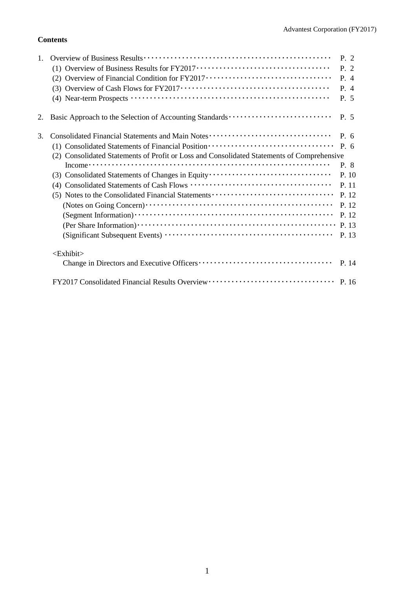## **Contents**

|    |                                                                                                                             | P. 2          |
|----|-----------------------------------------------------------------------------------------------------------------------------|---------------|
|    |                                                                                                                             | P. 2          |
|    | (2) Overview of Financial Condition for FY2017 ·································                                            | P. 4          |
|    | (3) Overview of Cash Flows for $FY2017 \cdots \cdots \cdots \cdots \cdots \cdots \cdots \cdots \cdots \cdots \cdots \cdots$ | P.4           |
|    |                                                                                                                             | P. 5          |
| 2. |                                                                                                                             | P. 5          |
| 3. | Consolidated Financial Statements and Main Notes                                                                            | $P_{\cdot}$ 6 |
|    | (1) Consolidated Statements of Financial Position ·······························                                           | P. 6          |
|    | (2) Consolidated Statements of Profit or Loss and Consolidated Statements of Comprehensive                                  |               |
|    |                                                                                                                             | P. 8          |
|    | (3) Consolidated Statements of Changes in Equity                                                                            | P. 10         |
|    |                                                                                                                             | P. 11         |
|    | (5) Notes to the Consolidated Financial Statements                                                                          | P. 12         |
|    |                                                                                                                             | P. 12         |
|    |                                                                                                                             | P. 12         |
|    |                                                                                                                             | P. 13         |
|    |                                                                                                                             | P. 13         |
|    | <exhibit></exhibit>                                                                                                         |               |
|    |                                                                                                                             | P. 14         |
|    |                                                                                                                             |               |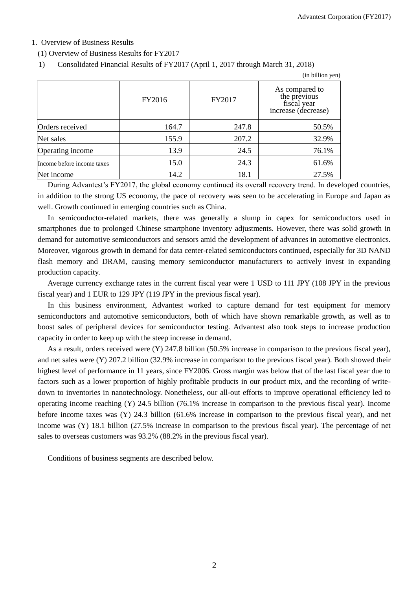## 1. Overview of Business Results

(1) Overview of Business Results for FY2017

1) Consolidated Financial Results of FY2017 (April 1, 2017 through March 31, 2018)

|                            |        |        | (in billion yen)                                                     |
|----------------------------|--------|--------|----------------------------------------------------------------------|
|                            | FY2016 | FY2017 | As compared to<br>the previous<br>fiscal year<br>increase (decrease) |
| Orders received            | 164.7  | 247.8  | 50.5%                                                                |
| Net sales                  | 155.9  | 207.2  | 32.9%                                                                |
| Operating income           | 13.9   | 24.5   | 76.1%                                                                |
| Income before income taxes | 15.0   | 24.3   | 61.6%                                                                |
| Net income                 | 14.2   | 18.1   | 27.5%                                                                |

During Advantest's FY2017, the global economy continued its overall recovery trend. In developed countries, in addition to the strong US economy, the pace of recovery was seen to be accelerating in Europe and Japan as well. Growth continued in emerging countries such as China.

In semiconductor-related markets, there was generally a slump in capex for semiconductors used in smartphones due to prolonged Chinese smartphone inventory adjustments. However, there was solid growth in demand for automotive semiconductors and sensors amid the development of advances in automotive electronics. Moreover, vigorous growth in demand for data center-related semiconductors continued, especially for 3D NAND flash memory and DRAM, causing memory semiconductor manufacturers to actively invest in expanding production capacity.

Average currency exchange rates in the current fiscal year were 1 USD to 111 JPY (108 JPY in the previous fiscal year) and 1 EUR to 129 JPY (119 JPY in the previous fiscal year).

In this business environment, Advantest worked to capture demand for test equipment for memory semiconductors and automotive semiconductors, both of which have shown remarkable growth, as well as to boost sales of peripheral devices for semiconductor testing. Advantest also took steps to increase production capacity in order to keep up with the steep increase in demand.

As a result, orders received were (Y) 247.8 billion (50.5% increase in comparison to the previous fiscal year), and net sales were (Y) 207.2 billion (32.9% increase in comparison to the previous fiscal year). Both showed their highest level of performance in 11 years, since FY2006. Gross margin was below that of the last fiscal year due to factors such as a lower proportion of highly profitable products in our product mix, and the recording of writedown to inventories in nanotechnology. Nonetheless, our all-out efforts to improve operational efficiency led to operating income reaching (Y) 24.5 billion (76.1% increase in comparison to the previous fiscal year). Income before income taxes was (Y) 24.3 billion (61.6% increase in comparison to the previous fiscal year), and net income was (Y) 18.1 billion (27.5% increase in comparison to the previous fiscal year). The percentage of net sales to overseas customers was 93.2% (88.2% in the previous fiscal year).

Conditions of business segments are described below.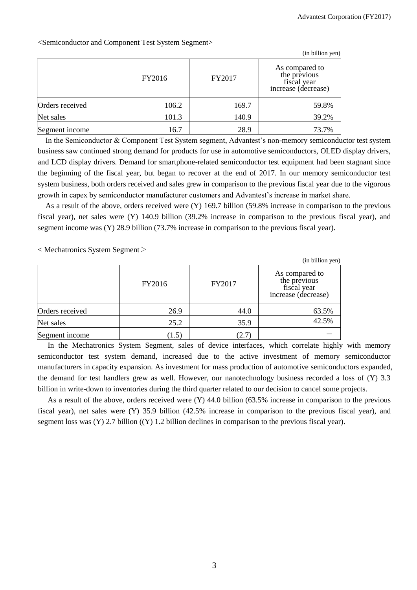|                 |        |        | (in billion yen)                                                     |
|-----------------|--------|--------|----------------------------------------------------------------------|
|                 | FY2016 | FY2017 | As compared to<br>the previous<br>fiscal year<br>increase (decrease) |
| Orders received | 106.2  | 169.7  | 59.8%                                                                |
| Net sales       | 101.3  | 140.9  | 39.2%                                                                |
| Segment income  | 16.7   | 28.9   | 73.7%                                                                |

<Semiconductor and Component Test System Segment>

In the Semiconductor & Component Test System segment, Advantest's non-memory semiconductor test system business saw continued strong demand for products for use in automotive semiconductors, OLED display drivers, and LCD display drivers. Demand for smartphone-related semiconductor test equipment had been stagnant since the beginning of the fiscal year, but began to recover at the end of 2017. In our memory semiconductor test system business, both orders received and sales grew in comparison to the previous fiscal year due to the vigorous growth in capex by semiconductor manufacturer customers and Advantest's increase in market share.

As a result of the above, orders received were (Y) 169.7 billion (59.8% increase in comparison to the previous fiscal year), net sales were (Y) 140.9 billion (39.2% increase in comparison to the previous fiscal year), and segment income was (Y) 28.9 billion (73.7% increase in comparison to the previous fiscal year).

 $\langle$  Mechatronics System Segment $\langle$ 

|                 |        |        | (in billion yen)                                                     |
|-----------------|--------|--------|----------------------------------------------------------------------|
|                 | FY2016 | FY2017 | As compared to<br>the previous<br>fiscal year<br>increase (decrease) |
| Orders received | 26.9   | 44.0   | 63.5%                                                                |
| Net sales       | 25.2   | 35.9   | 42.5%                                                                |
| Segment income  | (1.5)  | (2.7   |                                                                      |

In the Mechatronics System Segment, sales of device interfaces, which correlate highly with memory semiconductor test system demand, increased due to the active investment of memory semiconductor manufacturers in capacity expansion. As investment for mass production of automotive semiconductors expanded, the demand for test handlers grew as well. However, our nanotechnology business recorded a loss of (Y) 3.3 billion in write-down to inventories during the third quarter related to our decision to cancel some projects.

As a result of the above, orders received were (Y) 44.0 billion (63.5% increase in comparison to the previous fiscal year), net sales were (Y) 35.9 billion (42.5% increase in comparison to the previous fiscal year), and segment loss was (Y) 2.7 billion ((Y) 1.2 billion declines in comparison to the previous fiscal year).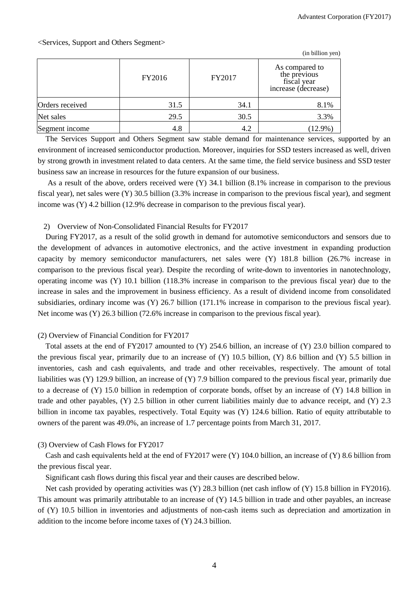|                 |        |        | (in billion yen)                                                     |
|-----------------|--------|--------|----------------------------------------------------------------------|
|                 | FY2016 | FY2017 | As compared to<br>the previous<br>fiscal year<br>increase (decrease) |
| Orders received | 31.5   | 34.1   | 8.1%                                                                 |
| Net sales       | 29.5   | 30.5   | 3.3%                                                                 |
| Segment income  | 4.8    | 4.2    | $(12.9\%)$                                                           |

The Services Support and Others Segment saw stable demand for maintenance services, supported by an environment of increased semiconductor production. Moreover, inquiries for SSD testers increased as well, driven by strong growth in investment related to data centers. At the same time, the field service business and SSD tester business saw an increase in resources for the future expansion of our business.

As a result of the above, orders received were (Y) 34.1 billion (8.1% increase in comparison to the previous fiscal year), net sales were (Y) 30.5 billion (3.3% increase in comparison to the previous fiscal year), and segment income was (Y) 4.2 billion (12.9% decrease in comparison to the previous fiscal year).

## 2) Overview of Non-Consolidated Financial Results for FY2017

During FY2017, as a result of the solid growth in demand for automotive semiconductors and sensors due to the development of advances in automotive electronics, and the active investment in expanding production capacity by memory semiconductor manufacturers, net sales were (Y) 181.8 billion (26.7% increase in comparison to the previous fiscal year). Despite the recording of write-down to inventories in nanotechnology, operating income was (Y) 10.1 billion (118.3% increase in comparison to the previous fiscal year) due to the increase in sales and the improvement in business efficiency. As a result of dividend income from consolidated subsidiaries, ordinary income was (Y) 26.7 billion (171.1% increase in comparison to the previous fiscal year). Net income was (Y) 26.3 billion (72.6% increase in comparison to the previous fiscal year).

## (2) Overview of Financial Condition for FY2017

Total assets at the end of FY2017 amounted to (Y) 254.6 billion, an increase of (Y) 23.0 billion compared to the previous fiscal year, primarily due to an increase of (Y) 10.5 billion, (Y) 8.6 billion and (Y) 5.5 billion in inventories, cash and cash equivalents, and trade and other receivables, respectively. The amount of total liabilities was (Y) 129.9 billion, an increase of (Y) 7.9 billion compared to the previous fiscal year, primarily due to a decrease of (Y) 15.0 billion in redemption of corporate bonds, offset by an increase of (Y) 14.8 billion in trade and other payables, (Y) 2.5 billion in other current liabilities mainly due to advance receipt, and (Y) 2.3 billion in income tax payables, respectively. Total Equity was (Y) 124.6 billion. Ratio of equity attributable to owners of the parent was 49.0%, an increase of 1.7 percentage points from March 31, 2017.

## (3) Overview of Cash Flows for FY2017

Cash and cash equivalents held at the end of FY2017 were (Y) 104.0 billion, an increase of (Y) 8.6 billion from the previous fiscal year.

Significant cash flows during this fiscal year and their causes are described below.

Net cash provided by operating activities was (Y) 28.3 billion (net cash inflow of (Y) 15.8 billion in FY2016). This amount was primarily attributable to an increase of (Y) 14.5 billion in trade and other payables, an increase of (Y) 10.5 billion in inventories and adjustments of non-cash items such as depreciation and amortization in addition to the income before income taxes of (Y) 24.3 billion.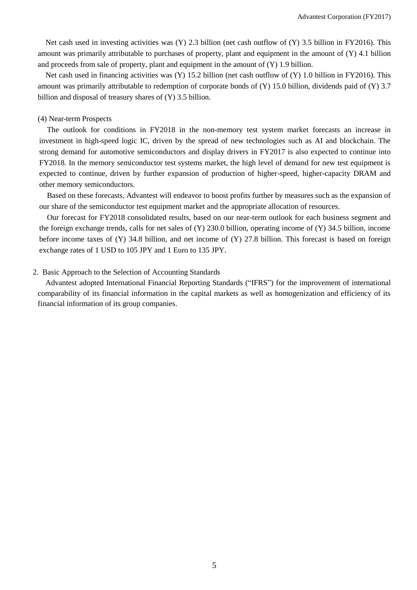Net cash used in investing activities was (Y) 2.3 billion (net cash outflow of (Y) 3.5 billion in FY2016). This amount was primarily attributable to purchases of property, plant and equipment in the amount of  $(Y)$  4.1 billion and proceeds from sale of property, plant and equipment in the amount of  $(Y)$  1.9 billion.

Net cash used in financing activities was  $(Y)$  15.2 billion (net cash outflow of  $(Y)$  1.0 billion in FY2016). This amount was primarily attributable to redemption of corporate bonds of (Y) 15.0 billion, dividends paid of (Y) 3.7 billion and disposal of treasury shares of (Y) 3.5 billion.

## (4) Near-term Prospects

The outlook for conditions in FY2018 in the non-memory test system market forecasts an increase in investment in high-speed logic IC, driven by the spread of new technologies such as AI and blockchain. The strong demand for automotive semiconductors and display drivers in FY2017 is also expected to continue into FY2018. In the memory semiconductor test systems market, the high level of demand for new test equipment is expected to continue, driven by further expansion of production of higher-speed, higher-capacity DRAM and other memory semiconductors.

Based on these forecasts, Advantest will endeavor to boost profits further by measures such as the expansion of our share of the semiconductor test equipment market and the appropriate allocation of resources.

Our forecast for FY2018 consolidated results, based on our near-term outlook for each business segment and the foreign exchange trends, calls for net sales of  $(Y)$  230.0 billion, operating income of  $(Y)$  34.5 billion, income before income taxes of (Y) 34.8 billion, and net income of (Y) 27.8 billion. This forecast is based on foreign exchange rates of 1 USD to 105 JPY and 1 Euro to 135 JPY.

## 2. Basic Approach to the Selection of Accounting Standards

Advantest adopted International Financial Reporting Standards ("IFRS") for the improvement of international comparability of its financial information in the capital markets as well as homogenization and efficiency of its financial information of its group companies.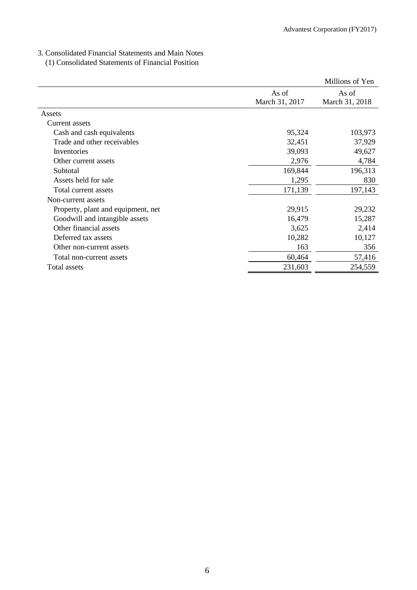## 3. Consolidated Financial Statements and Main Notes

## (1) Consolidated Statements of Financial Position

|                                    |                | Millions of Yen |
|------------------------------------|----------------|-----------------|
|                                    | As of          | As of           |
|                                    | March 31, 2017 | March 31, 2018  |
| Assets                             |                |                 |
| Current assets                     |                |                 |
| Cash and cash equivalents          | 95,324         | 103,973         |
| Trade and other receivables        | 32,451         | 37,929          |
| Inventories                        | 39,093         | 49,627          |
| Other current assets               | 2,976          | 4,784           |
| Subtotal                           | 169,844        | 196,313         |
| Assets held for sale               | 1,295          | 830             |
| Total current assets               | 171,139        | 197,143         |
| Non-current assets                 |                |                 |
| Property, plant and equipment, net | 29,915         | 29,232          |
| Goodwill and intangible assets     | 16,479         | 15,287          |
| Other financial assets             | 3,625          | 2,414           |
| Deferred tax assets                | 10,282         | 10,127          |
| Other non-current assets           | 163            | 356             |
| Total non-current assets           | 60,464         | 57,416          |
| Total assets                       | 231,603        | 254,559         |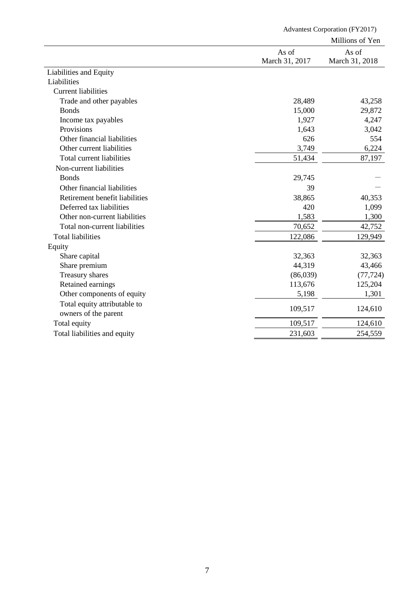|                                  | <b>Advantest Corporation (FY2017)</b> |                         |  |
|----------------------------------|---------------------------------------|-------------------------|--|
|                                  |                                       | Millions of Yen         |  |
|                                  | As of<br>March 31, 2017               | As of<br>March 31, 2018 |  |
| Liabilities and Equity           |                                       |                         |  |
| Liabilities                      |                                       |                         |  |
| <b>Current liabilities</b>       |                                       |                         |  |
| Trade and other payables         | 28,489                                | 43,258                  |  |
| <b>Bonds</b>                     | 15,000                                | 29,872                  |  |
| Income tax payables              | 1,927                                 | 4,247                   |  |
| Provisions                       | 1,643                                 | 3,042                   |  |
| Other financial liabilities      | 626                                   | 554                     |  |
| Other current liabilities        | 3,749                                 | 6,224                   |  |
| <b>Total current liabilities</b> | 51,434                                | 87,197                  |  |
| Non-current liabilities          |                                       |                         |  |
| <b>Bonds</b>                     | 29,745                                |                         |  |
| Other financial liabilities      | 39                                    |                         |  |
| Retirement benefit liabilities   | 38,865                                | 40,353                  |  |
| Deferred tax liabilities         | 420                                   | 1,099                   |  |
| Other non-current liabilities    | 1,583                                 | 1,300                   |  |
| Total non-current liabilities    | 70,652                                | 42,752                  |  |
| <b>Total liabilities</b>         | 122,086                               | 129,949                 |  |
| Equity                           |                                       |                         |  |
| Share capital                    | 32,363                                | 32,363                  |  |
| Share premium                    | 44,319                                | 43,466                  |  |
| Treasury shares                  | (86,039)                              | (77, 724)               |  |
| Retained earnings                | 113,676                               | 125,204                 |  |
| Other components of equity       | 5,198                                 | 1,301                   |  |
| Total equity attributable to     |                                       |                         |  |
| owners of the parent             | 109,517                               | 124,610                 |  |
| Total equity                     | 109,517                               | 124,610                 |  |
| Total liabilities and equity     | 231,603                               | 254,559                 |  |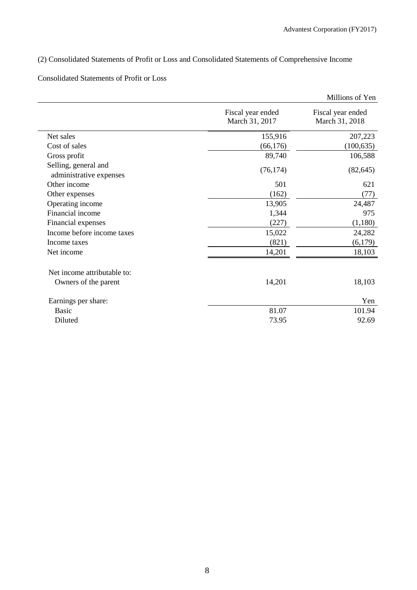## (2) Consolidated Statements of Profit or Loss and Consolidated Statements of Comprehensive Income

## Consolidated Statements of Profit or Loss

|                                                 |                                     | Millions of Yen                     |
|-------------------------------------------------|-------------------------------------|-------------------------------------|
|                                                 | Fiscal year ended<br>March 31, 2017 | Fiscal year ended<br>March 31, 2018 |
| Net sales                                       | 155,916                             | 207,223                             |
| Cost of sales                                   | (66, 176)                           | (100, 635)                          |
| Gross profit                                    | 89,740                              | 106,588                             |
| Selling, general and<br>administrative expenses | (76, 174)                           | (82, 645)                           |
| Other income                                    | 501                                 | 621                                 |
| Other expenses                                  | (162)                               | (77)                                |
| Operating income                                | 13,905                              | 24,487                              |
| Financial income                                | 1,344                               | 975                                 |
| Financial expenses                              | (227)                               | (1,180)                             |
| Income before income taxes                      | 15,022                              | 24,282                              |
| Income taxes                                    | (821)                               | (6,179)                             |
| Net income                                      | 14,201                              | 18,103                              |
| Net income attributable to:                     |                                     |                                     |
| Owners of the parent                            | 14,201                              | 18,103                              |
| Earnings per share:                             |                                     | Yen                                 |
| <b>Basic</b>                                    | 81.07                               | 101.94                              |
| Diluted                                         | 73.95                               | 92.69                               |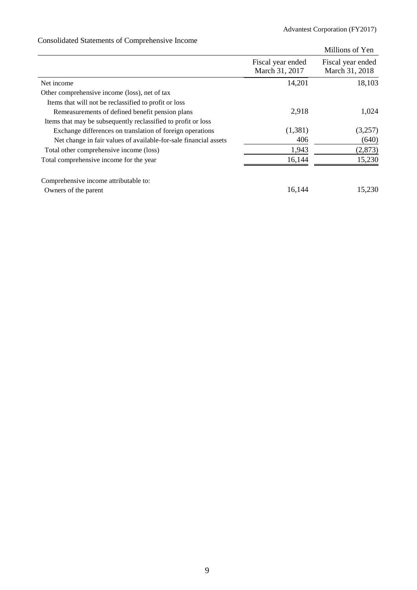# Consolidated Statements of Comprehensive Income

|                                                                  |                                     | Millions of Yen                     |
|------------------------------------------------------------------|-------------------------------------|-------------------------------------|
|                                                                  | Fiscal year ended<br>March 31, 2017 | Fiscal year ended<br>March 31, 2018 |
| Net income                                                       | 14,201                              | 18,103                              |
| Other comprehensive income (loss), net of tax                    |                                     |                                     |
| Items that will not be reclassified to profit or loss            |                                     |                                     |
| Remeasurements of defined benefit pension plans                  | 2,918                               | 1,024                               |
| Items that may be subsequently reclassified to profit or loss    |                                     |                                     |
| Exchange differences on translation of foreign operations        | (1,381)                             | (3,257)                             |
| Net change in fair values of available-for-sale financial assets | 406                                 | (640)                               |
| Total other comprehensive income (loss)                          | 1,943                               | (2, 873)                            |
| Total comprehensive income for the year                          | 16,144                              | 15,230                              |
| Comprehensive income attributable to:                            |                                     |                                     |
| Owners of the parent                                             | 16,144                              | 15,230                              |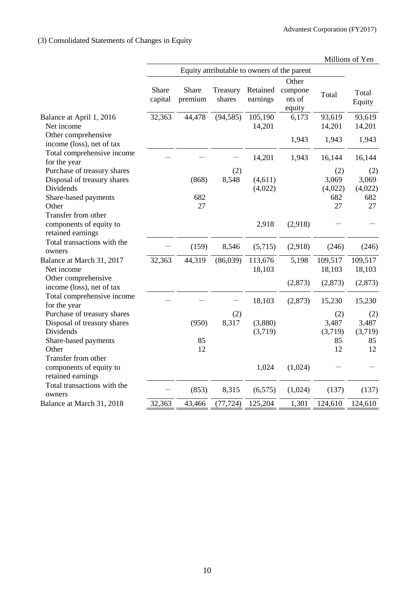# (3) Consolidated Statements of Changes in Equity

|                                                                                                          |                  |                    |                                             |                      |                             |                                      | Millions of Yen                      |
|----------------------------------------------------------------------------------------------------------|------------------|--------------------|---------------------------------------------|----------------------|-----------------------------|--------------------------------------|--------------------------------------|
|                                                                                                          |                  |                    | Equity attributable to owners of the parent |                      |                             |                                      |                                      |
|                                                                                                          |                  |                    |                                             |                      | Other                       |                                      |                                      |
|                                                                                                          | Share<br>capital | Share<br>premium   | Treasury<br>shares                          | Retained<br>earnings | compone<br>nts of<br>equity | Total                                | Total<br>Equity                      |
| Balance at April 1, 2016<br>Net income                                                                   | 32,363           | 44,478             | (94, 585)                                   | 105,190<br>14,201    | 6,173                       | 93,619<br>14,201                     | 93,619<br>14,201                     |
| Other comprehensive<br>income (loss), net of tax                                                         |                  |                    |                                             |                      | 1,943                       | 1,943                                | 1,943                                |
| Total comprehensive income<br>for the year                                                               |                  |                    |                                             | 14,201               | 1,943                       | 16,144                               | 16,144                               |
| Purchase of treasury shares<br>Disposal of treasury shares<br>Dividends<br>Share-based payments<br>Other |                  | (868)<br>682<br>27 | (2)<br>8,548                                | (4,611)<br>(4,022)   |                             | (2)<br>3,069<br>(4,022)<br>682<br>27 | (2)<br>3,069<br>(4,022)<br>682<br>27 |
| Transfer from other<br>components of equity to<br>retained earnings                                      |                  |                    |                                             | 2,918                | (2,918)                     |                                      |                                      |
| Total transactions with the<br>owners                                                                    |                  | (159)              | 8,546                                       | (5,715)              | (2,918)                     | (246)                                | (246)                                |
| Balance at March 31, 2017<br>Net income                                                                  | 32,363           | 44,319             | (86,039)                                    | 113,676<br>18,103    | 5,198                       | 109,517<br>18,103                    | 109,517<br>18,103                    |
| Other comprehensive<br>income (loss), net of tax                                                         |                  |                    |                                             |                      | (2,873)                     | (2,873)                              | (2,873)                              |
| Total comprehensive income<br>for the year                                                               |                  |                    |                                             | 18,103               | (2,873)                     | 15,230                               | 15,230                               |
| Purchase of treasury shares<br>Disposal of treasury shares<br>Dividends<br>Share-based payments          |                  | (950)<br>85        | (2)<br>8,317                                | (3,880)<br>(3,719)   |                             | (2)<br>3,487<br>(3,719)<br>85        | (2)<br>3,487<br>(3,719)<br>85        |
| Other<br>Transfer from other<br>components of equity to<br>retained earnings                             |                  | 12                 |                                             | 1,024                | (1,024)                     | 12                                   | 12                                   |
| Total transactions with the<br>owners                                                                    |                  | (853)              | 8,315                                       | (6, 575)             | (1,024)                     | (137)                                | (137)                                |
| Balance at March 31, 2018                                                                                | 32,363           | 43,466             | (77, 724)                                   | 125,204              | 1,301                       | 124,610                              | 124,610                              |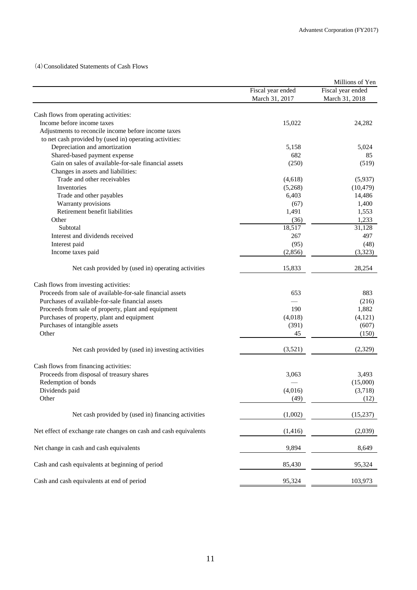(4)Consolidated Statements of Cash Flows

|                                                                     |                   | Millions of Yen   |
|---------------------------------------------------------------------|-------------------|-------------------|
|                                                                     | Fiscal year ended | Fiscal year ended |
|                                                                     | March 31, 2017    | March 31, 2018    |
|                                                                     |                   |                   |
| Cash flows from operating activities:<br>Income before income taxes | 15,022            | 24,282            |
| Adjustments to reconcile income before income taxes                 |                   |                   |
| to net cash provided by (used in) operating activities:             |                   |                   |
| Depreciation and amortization                                       | 5,158             | 5,024             |
| Shared-based payment expense                                        | 682               | 85                |
| Gain on sales of available-for-sale financial assets                |                   |                   |
|                                                                     | (250)             | (519)             |
| Changes in assets and liabilities:                                  |                   |                   |
| Trade and other receivables                                         | (4,618)           | (5,937)           |
| Inventories                                                         | (5,268)           | (10, 479)         |
| Trade and other payables                                            | 6,403             | 14,486            |
| Warranty provisions                                                 | (67)              | 1,400             |
| Retirement benefit liabilities                                      | 1,491             | 1,553             |
| Other                                                               | (36)              | 1,233             |
| Subtotal                                                            | 18,517            | 31,128            |
| Interest and dividends received                                     | 267               | 497               |
| Interest paid                                                       | (95)              | (48)              |
| Income taxes paid                                                   | (2,856)           | (3,323)           |
| Net cash provided by (used in) operating activities                 | 15,833            | 28,254            |
| Cash flows from investing activities:                               |                   |                   |
| Proceeds from sale of available-for-sale financial assets           | 653               | 883               |
| Purchases of available-for-sale financial assets                    |                   | (216)             |
| Proceeds from sale of property, plant and equipment                 | 190               | 1,882             |
| Purchases of property, plant and equipment                          | (4,018)           | (4, 121)          |
| Purchases of intangible assets                                      | (391)             | (607)             |
| Other                                                               | 45                | (150)             |
|                                                                     |                   |                   |
| Net cash provided by (used in) investing activities                 | (3,521)           | (2,329)           |
| Cash flows from financing activities:                               |                   |                   |
| Proceeds from disposal of treasury shares                           | 3,063             | 3,493             |
| Redemption of bonds                                                 |                   | (15,000)          |
| Dividends paid                                                      | (4,016)           | (3,718)           |
| Other                                                               | (49)              | (12)              |
| Net cash provided by (used in) financing activities                 | (1,002)           | (15,237)          |
|                                                                     |                   |                   |
| Net effect of exchange rate changes on cash and cash equivalents    | (1,416)           | (2,039)           |
| Net change in cash and cash equivalents                             | 9,894             | 8,649             |
| Cash and cash equivalents at beginning of period                    | 85,430            | 95,324            |
| Cash and cash equivalents at end of period                          | 95,324            | 103,973           |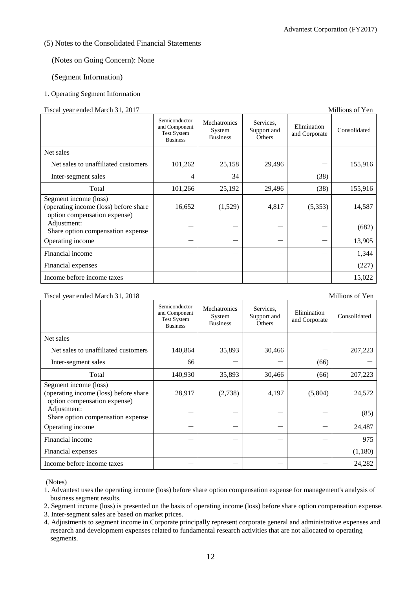## (5) Notes to the Consolidated Financial Statements

## (Notes on Going Concern): None

## (Segment Information)

## 1. Operating Segment Information

### Fiscal year ended March 31, 2017 Millions of Yen

|                                                                                                | Semiconductor<br>and Component<br><b>Test System</b><br><b>Business</b> | Mechatronics<br>System<br><b>Business</b> | Services,<br>Support and<br>Others | Elimination<br>and Corporate | Consolidated |
|------------------------------------------------------------------------------------------------|-------------------------------------------------------------------------|-------------------------------------------|------------------------------------|------------------------------|--------------|
| Net sales                                                                                      |                                                                         |                                           |                                    |                              |              |
| Net sales to unaffiliated customers                                                            | 101,262                                                                 | 25,158                                    | 29,496                             |                              | 155,916      |
| Inter-segment sales                                                                            | 4                                                                       | 34                                        |                                    | (38)                         |              |
| Total                                                                                          | 101,266                                                                 | 25,192                                    | 29,496                             | (38)                         | 155,916      |
| Segment income (loss)<br>(operating income (loss) before share<br>option compensation expense) | 16,652                                                                  | (1,529)                                   | 4,817                              | (5,353)                      | 14,587       |
| Adjustment:<br>Share option compensation expense                                               |                                                                         |                                           |                                    |                              | (682)        |
| Operating income                                                                               |                                                                         |                                           |                                    |                              | 13,905       |
| Financial income                                                                               |                                                                         |                                           |                                    |                              | 1,344        |
| Financial expenses                                                                             |                                                                         |                                           |                                    |                              | (227)        |
| Income before income taxes                                                                     |                                                                         |                                           |                                    |                              | 15,022       |

#### Fiscal year ended March 31, 2018 Millions of Yen Semiconductor and Component Test System Business Mechatronics System Business Services, Support and **Others** Elimination E<sup>LITHR</sup>and Corporate Consolidated Net sales Net sales to unaffiliated customers  $\begin{vmatrix} 140.864 & 35.893 & 30.466 \end{vmatrix}$   $\begin{vmatrix} -1 & 207.223 \end{vmatrix}$ Inter-segment sales  $\begin{vmatrix} 66 & -1 & -1 \end{vmatrix}$  (66) Total 140,930 35,893 30,466 (66) 207,223 Segment income (loss) (operating income (loss) before share option compensation expense) 28,917 (2,738) 4,197 (5,804) 24,572 Adjustment:  $S<sub>1</sub>$  -  $S<sub>2</sub>$  -  $S<sub>3</sub>$  -  $S<sub>4</sub>$  -  $S<sub>5</sub>$  -  $S<sub>6</sub>$  -  $S<sub>7</sub>$  -  $S<sub>8</sub>$  -  $S<sub>9</sub>$  -  $S<sub>1</sub>$  -  $S<sub>1</sub>$  -  $S<sub>1</sub>$  -  $S<sub>1</sub>$  -  $S<sub>1</sub>$  -  $S<sub>1</sub>$  -  $S<sub>1</sub>$  -  $S<sub>1</sub>$  - Operating income  $24.487$ Financial income  $\begin{vmatrix} -1 & -1 & -1 & -1 \\ -1 & -1 & -1 \end{vmatrix}$  975 Financial expenses  $(1,180)$ Income before income taxes  $24,282$

(Notes)

1. Advantest uses the operating income (loss) before share option compensation expense for management's analysis of business segment results.

2. Segment income (loss) is presented on the basis of operating income (loss) before share option compensation expense.

3. Inter-segment sales are based on market prices.

4. Adjustments to segment income in Corporate principally represent corporate general and administrative expenses and research and development expenses related to fundamental research activities that are not allocated to operating segments.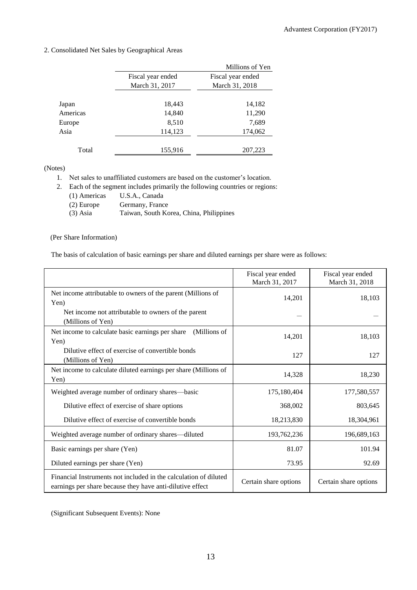## 2. Consolidated Net Sales by Geographical Areas

|          |                   | Millions of Yen   |
|----------|-------------------|-------------------|
|          | Fiscal year ended | Fiscal year ended |
|          | March 31, 2017    | March 31, 2018    |
|          |                   |                   |
| Japan    | 18,443            | 14,182            |
| Americas | 14,840            | 11,290            |
| Europe   | 8,510             | 7,689             |
| Asia     | 114,123           | 174,062           |
|          |                   |                   |
| Total    | 155,916           | 207,223           |

(Notes)

1. Net sales to unaffiliated customers are based on the customer's location.

2. Each of the segment includes primarily the following countries or regions:

- (1) Americas U.S.A., Canada
- 

(2) Europe Germany, France<br>
(3) Asia Taiwan, South Ko Taiwan, South Korea, China, Philippines

## (Per Share Information)

The basis of calculation of basic earnings per share and diluted earnings per share were as follows:

|                                                                                                                               | Fiscal year ended<br>March 31, 2017 | Fiscal year ended<br>March 31, 2018 |
|-------------------------------------------------------------------------------------------------------------------------------|-------------------------------------|-------------------------------------|
| Net income attributable to owners of the parent (Millions of<br>Yen)                                                          | 14,201                              | 18,103                              |
| Net income not attributable to owners of the parent<br>(Millions of Yen)                                                      |                                     |                                     |
| (Millions of<br>Net income to calculate basic earnings per share<br>Yen)                                                      | 14,201                              | 18,103                              |
| Dilutive effect of exercise of convertible bonds<br>(Millions of Yen)                                                         | 127                                 | 127                                 |
| Net income to calculate diluted earnings per share (Millions of<br>Yen)                                                       | 14,328                              | 18,230                              |
| Weighted average number of ordinary shares—basic                                                                              | 175,180,404                         | 177,580,557                         |
| Dilutive effect of exercise of share options                                                                                  | 368,002                             | 803,645                             |
| Dilutive effect of exercise of convertible bonds                                                                              | 18,213,830                          | 18,304,961                          |
| Weighted average number of ordinary shares—diluted                                                                            | 193,762,236                         | 196,689,163                         |
| Basic earnings per share (Yen)                                                                                                | 81.07                               | 101.94                              |
| Diluted earnings per share (Yen)                                                                                              | 73.95                               | 92.69                               |
| Financial Instruments not included in the calculation of diluted<br>earnings per share because they have anti-dilutive effect | Certain share options               | Certain share options               |

(Significant Subsequent Events): None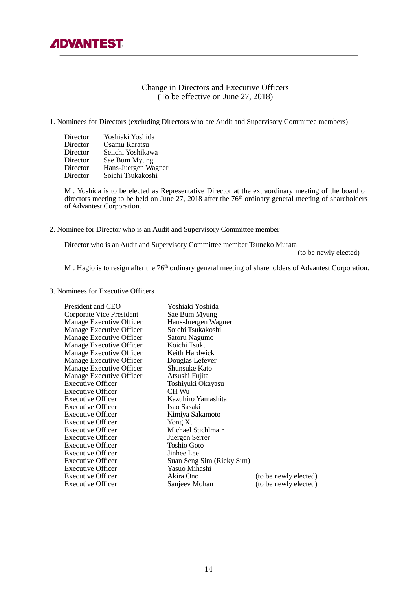

## Change in Directors and Executive Officers (To be effective on June 27, 2018)

## 1. Nominees for Directors (excluding Directors who are Audit and Supervisory Committee members)

| Director<br>Director<br>Director<br>Director<br>Director | Yoshiaki Yoshida<br>Osamu Karatsu<br>Seiichi Yoshikawa<br>Sae Bum Myung |
|----------------------------------------------------------|-------------------------------------------------------------------------|
|                                                          | Hans-Juergen Wagner                                                     |
| Director                                                 | Soichi Tsukakoshi                                                       |

 Mr. Yoshida is to be elected as Representative Director at the extraordinary meeting of the board of directors meeting to be held on June 27, 2018 after the  $76<sup>th</sup>$  ordinary general meeting of shareholders of Advantest Corporation.

2. Nominee for Director who is an Audit and Supervisory Committee member

Director who is an Audit and Supervisory Committee member Tsuneko Murata

(to be newly elected)

Mr. Hagio is to resign after the 76<sup>th</sup> ordinary general meeting of shareholders of Advantest Corporation.

3. Nominees for Executive Officers

| President and CEO        | Yoshiaki Yoshida          |                       |
|--------------------------|---------------------------|-----------------------|
| Corporate Vice President | Sae Bum Myung             |                       |
| Manage Executive Officer | Hans-Juergen Wagner       |                       |
| Manage Executive Officer | Soichi Tsukakoshi         |                       |
| Manage Executive Officer | Satoru Nagumo             |                       |
| Manage Executive Officer | Koichi Tsukui             |                       |
| Manage Executive Officer | Keith Hardwick            |                       |
| Manage Executive Officer | Douglas Lefever           |                       |
| Manage Executive Officer | Shunsuke Kato             |                       |
| Manage Executive Officer | Atsushi Fujita            |                       |
| <b>Executive Officer</b> | Toshiyuki Okayasu         |                       |
| <b>Executive Officer</b> | CH Wu                     |                       |
| Executive Officer        | Kazuhiro Yamashita        |                       |
| <b>Executive Officer</b> | Isao Sasaki               |                       |
| Executive Officer        | Kimiya Sakamoto           |                       |
| <b>Executive Officer</b> | Yong Xu                   |                       |
| <b>Executive Officer</b> | Michael Stichlmair        |                       |
| <b>Executive Officer</b> | Juergen Serrer            |                       |
| <b>Executive Officer</b> | Toshio Goto               |                       |
| Executive Officer        | Jinhee Lee                |                       |
| <b>Executive Officer</b> | Suan Seng Sim (Ricky Sim) |                       |
| <b>Executive Officer</b> | Yasuo Mihashi             |                       |
| <b>Executive Officer</b> | Akira Ono                 | (to be newly elected) |
| <b>Executive Officer</b> | Sanjeev Mohan             | (to be newly elected) |
|                          |                           |                       |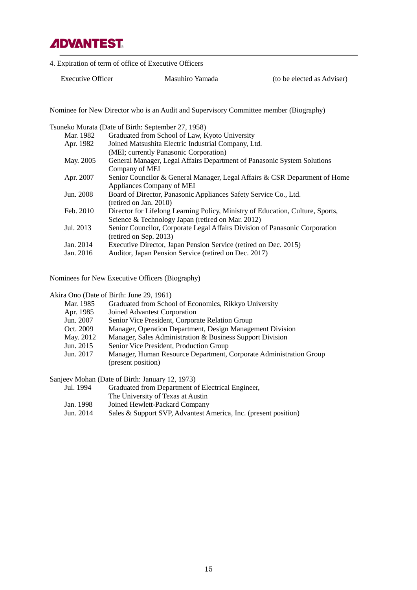

4. Expiration of term of office of Executive Officers

Executive Officer Masuhiro Yamada (to be elected as Adviser)

Nominee for New Director who is an Audit and Supervisory Committee member (Biography)

Tsuneko Murata (Date of Birth: September 27, 1958)

| Mar. 1982 | Graduated from School of Law, Kyoto University                                 |
|-----------|--------------------------------------------------------------------------------|
| Apr. 1982 | Joined Matsushita Electric Industrial Company, Ltd.                            |
|           | (MEI; currently Panasonic Corporation)                                         |
| May. 2005 | General Manager, Legal Affairs Department of Panasonic System Solutions        |
|           | Company of MEI                                                                 |
| Apr. 2007 | Senior Councilor & General Manager, Legal Affairs & CSR Department of Home     |
|           | Appliances Company of MEI                                                      |
| Jun. 2008 | Board of Director, Panasonic Appliances Safety Service Co., Ltd.               |
|           | $(\text{retired on Jan. } 2010)$                                               |
| Feb. 2010 | Director for Lifelong Learning Policy, Ministry of Education, Culture, Sports, |
|           | Science & Technology Japan (retired on Mar. 2012)                              |
| Jul. 2013 | Senior Councilor, Corporate Legal Affairs Division of Panasonic Corporation    |
|           | $(\text{retried on Sep. } 2013)$                                               |
| Jan. 2014 | Executive Director, Japan Pension Service (retired on Dec. 2015)               |
| Jan. 2016 | Auditor, Japan Pension Service (retired on Dec. 2017)                          |
|           |                                                                                |

Nominees for New Executive Officers (Biography)

Akira Ono (Date of Birth: June 29, 1961)

- Mar. 1985 Graduated from School of Economics, Rikkyo University
- Apr. 1985 Joined Advantest Corporation
- Jun. 2007 Senior Vice President, Corporate Relation Group
- Oct. 2009 Manager, Operation Department, Design Management Division
- May. 2012 Manager, Sales Administration & Business Support Division
- Jun. 2015 Senior Vice President, Production Group
- Jun. 2017 Manager, Human Resource Department, Corporate Administration Group (present position)

Sanjeev Mohan (Date of Birth: January 12, 1973)

- Jul. 1994 Graduated from Department of Electrical Engineer, The University of Texas at Austin
- Jan. 1998 Joined Hewlett-Packard Company
- Jun. 2014 Sales & Support SVP, Advantest America, Inc. (present position)